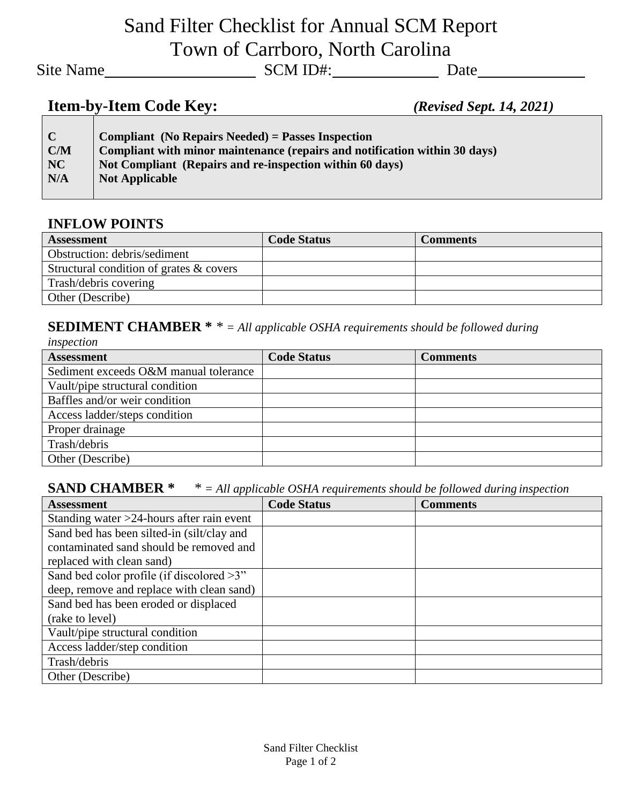# Sand Filter Checklist for Annual SCM Report Town of Carrboro, North Carolina

Site Name
Site Name
Site Name
SCM ID#:
SCM ID#:
SCM ID#:
SCM ID#:
SCM ID#:
SCM ID#:
SCM ID#:
SCM ID#:
SCM ID#:
SCM ID#:
SCM ID#:
SCM ID#:
SCM ID#:
SCM ID#:
SCM ID#:
SCM ID#:
SCM ID#:
SCM ID#:
SCM ID#:
SCM ID#:
SCM ID#:
SCM

### **Item-by-Item Code Key:** *(Revised Sept. 14, 2021)*

| $\mathsf{C}$ | <b>Compliant</b> (No Repairs Needed) = Passes Inspection                   |
|--------------|----------------------------------------------------------------------------|
| C/M          | Compliant with minor maintenance (repairs and notification within 30 days) |
| NC           | Not Compliant (Repairs and re-inspection within 60 days)                   |
| N/A          | <b>Not Applicable</b>                                                      |
|              |                                                                            |

#### **INFLOW POINTS**

| <b>Assessment</b>                          | <b>Code Status</b> | <b>Comments</b> |
|--------------------------------------------|--------------------|-----------------|
| Obstruction: debris/sediment               |                    |                 |
| Structural condition of grates $\&$ covers |                    |                 |
| Trash/debris covering                      |                    |                 |
| Other (Describe)                           |                    |                 |

### **SEDIMENT CHAMBER \*** *\* = All applicable OSHA requirements should be followed during*

| inspection                            |                    |                 |  |  |
|---------------------------------------|--------------------|-----------------|--|--|
| <b>Assessment</b>                     | <b>Code Status</b> | <b>Comments</b> |  |  |
| Sediment exceeds O&M manual tolerance |                    |                 |  |  |
| Vault/pipe structural condition       |                    |                 |  |  |
| Baffles and/or weir condition         |                    |                 |  |  |
| Access ladder/steps condition         |                    |                 |  |  |
| Proper drainage                       |                    |                 |  |  |
| Trash/debris                          |                    |                 |  |  |
| Other (Describe)                      |                    |                 |  |  |

### **SAND CHAMBER \*** *\* = All applicable OSHA requirements should be followed during inspection*

| . .<br><b>Assessment</b>                     | <b>Code Status</b> | <b>Comments</b> |
|----------------------------------------------|--------------------|-----------------|
| Standing water $>24$ -hours after rain event |                    |                 |
| Sand bed has been silted-in (silt/clay and   |                    |                 |
| contaminated sand should be removed and      |                    |                 |
| replaced with clean sand)                    |                    |                 |
| Sand bed color profile (if discolored $>3$ " |                    |                 |
| deep, remove and replace with clean sand)    |                    |                 |
| Sand bed has been eroded or displaced        |                    |                 |
| (rake to level)                              |                    |                 |
| Vault/pipe structural condition              |                    |                 |
| Access ladder/step condition                 |                    |                 |
| Trash/debris                                 |                    |                 |
| Other (Describe)                             |                    |                 |